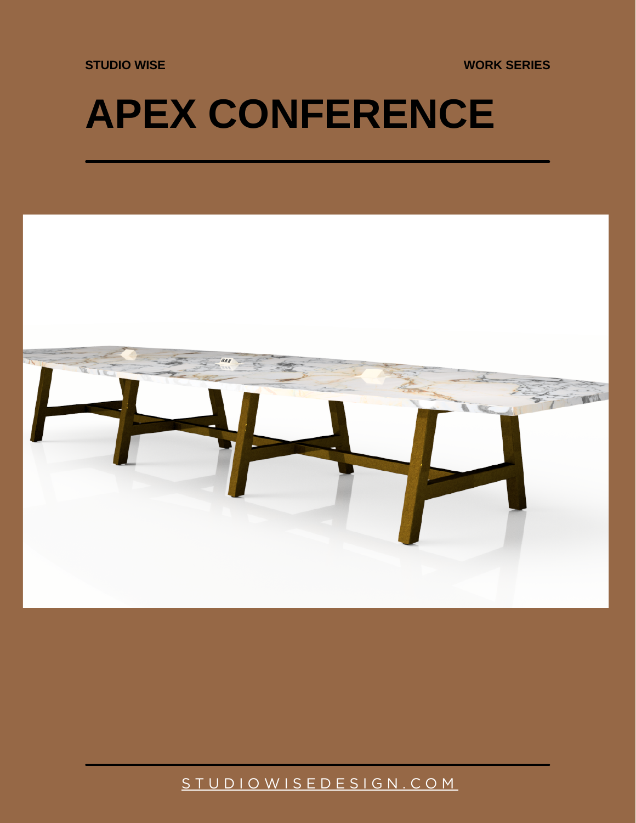**STUDIO WISE WORK SERIES**

## **APEX CONFERENCE**



## [S T U D I O W I S E D E S I G N . C O M](https://studiowisedesign.com/)